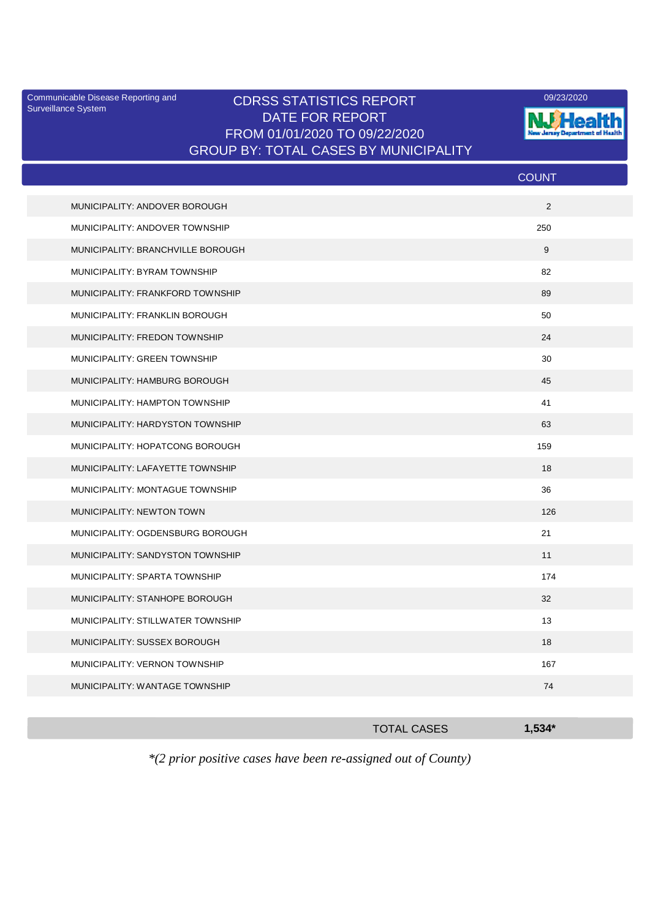Surveillance System

## Communicable Disease Reporting and CDRSS STATISTICS REPORT [1999] 09/23/2020 09/23/2020<br>Surveillance System DATE FOR REPORT FROM 01/01/2020 TO 09/22/2020 GROUP BY: TOTAL CASES BY MUNICIPALITY



|                                   | <b>COUNT</b> |
|-----------------------------------|--------------|
| MUNICIPALITY: ANDOVER BOROUGH     | 2            |
| MUNICIPALITY: ANDOVER TOWNSHIP    | 250          |
| MUNICIPALITY: BRANCHVILLE BOROUGH | 9            |
| MUNICIPALITY: BYRAM TOWNSHIP      | 82           |
| MUNICIPALITY: FRANKFORD TOWNSHIP  | 89           |
| MUNICIPALITY: FRANKLIN BOROUGH    | 50           |
| MUNICIPALITY: FREDON TOWNSHIP     | 24           |
| MUNICIPALITY: GREEN TOWNSHIP      | 30           |
| MUNICIPALITY: HAMBURG BOROUGH     | 45           |
| MUNICIPALITY: HAMPTON TOWNSHIP    | 41           |
| MUNICIPALITY: HARDYSTON TOWNSHIP  | 63           |
| MUNICIPALITY: HOPATCONG BOROUGH   | 159          |
| MUNICIPALITY: LAFAYETTE TOWNSHIP  | 18           |
| MUNICIPALITY: MONTAGUE TOWNSHIP   | 36           |
| MUNICIPALITY: NEWTON TOWN         | 126          |
| MUNICIPALITY: OGDENSBURG BOROUGH  | 21           |
| MUNICIPALITY: SANDYSTON TOWNSHIP  | 11           |
| MUNICIPALITY: SPARTA TOWNSHIP     | 174          |
| MUNICIPALITY: STANHOPE BOROUGH    | 32           |
| MUNICIPALITY: STILLWATER TOWNSHIP | 13           |
| MUNICIPALITY: SUSSEX BOROUGH      | 18           |
| MUNICIPALITY: VERNON TOWNSHIP     | 167          |
| MUNICIPALITY: WANTAGE TOWNSHIP    | 74           |
|                                   |              |

|  |  |  |  | <b>TOTAL CASES</b> | $1,534*$ |
|--|--|--|--|--------------------|----------|
|  |  |  |  | $\sim$             |          |

*\*(2 prior positive cases have been re-assigned out of County)*